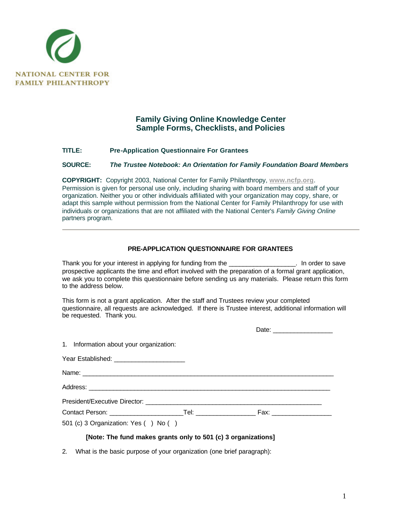

## **Family Giving Online Knowledge Center Sample Forms, Checklists, and Policies**

## **TITLE: Pre-Application Questionnaire For Grantees**

## **SOURCE:** *The Trustee Notebook: An Orientation for Family Foundation Board Members*

**COPYRIGHT:** Copyright 2003, National Center for Family Philanthropy, **www.ncfp.org**. Permission is given for personal use only, including sharing with board members and staff of your organization. Neither you or other individuals affiliated with your organization may copy, share, or adapt this sample without permission from the National Center for Family Philanthropy for use with individuals or organizations that are not affiliated with the National Center's *Family Giving Online* partners program.

## **PRE-APPLICATION QUESTIONNAIRE FOR GRANTEES**

Thank you for your interest in applying for funding from the Thank you for your interest in applying for funding from the prospective applicants the time and effort involved with the preparation of a formal grant application, we ask you to complete this questionnaire before sending us any materials. Please return this form to the address below.

This form is not a grant application. After the staff and Trustees review your completed questionnaire, all requests are acknowledged. If there is Trustee interest, additional information will be requested. Thank you.

| 1. Information about your organization:                       |  |  |  |
|---------------------------------------------------------------|--|--|--|
| Year Established: ________________________                    |  |  |  |
|                                                               |  |  |  |
|                                                               |  |  |  |
|                                                               |  |  |  |
|                                                               |  |  |  |
| 501 (c) 3 Organization: Yes () No ()                          |  |  |  |
| [Note: The fund makes grants only to 501 (c) 3 organizations] |  |  |  |

2. What is the basic purpose of your organization (one brief paragraph):